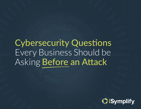# Cybersecurity Questions Every Business Should be Asking Before an Attack

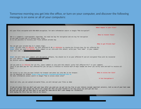Tomorrow morning you get into the office, or turn on your computer, and discover the following message is on some or all of your computers:

|                                                                                                                                                                                                                                                                                                                                                                                                                                                  | #What Happen to your Files? |  |
|--------------------------------------------------------------------------------------------------------------------------------------------------------------------------------------------------------------------------------------------------------------------------------------------------------------------------------------------------------------------------------------------------------------------------------------------------|-----------------------------|--|
| All your files encrypted with RSA-4028 encryption. For more information search in Google "RSA Encryption".                                                                                                                                                                                                                                                                                                                                       |                             |  |
|                                                                                                                                                                                                                                                                                                                                                                                                                                                  | #How to recover Files?      |  |
| RSA is a symmetric cryptrographic algorithm. You need one key for encryption and one key for decryption<br>So you need Private key to recovery your files.<br>It is not possible to recovery your files without private key                                                                                                                                                                                                                      |                             |  |
|                                                                                                                                                                                                                                                                                                                                                                                                                                                  | #How to get Private Key?    |  |
| You can get your private key in 3 simple steps:<br>Step1: You must send 0.5 BitCoin for each affected PC OR 4.5 BitCoins to receive ALL Private keys for ALL affected PCs<br>Step2: After you send 0.5 BitCoin leave comment on our site with this detail: write your "host name" in your comment<br>Your host name is:                                                                                                                          |                             |  |
| Step3: We will reply your comment with decryption software, You should run it on your affected PC and all encrypted files will be recovered<br>Our site address: http://<br>Our BitCoin address:                                                                                                                                                                                                                                                 |                             |  |
| (If you send us 4.5 Bitcoin for all PCs, leave comment on site with this detail: write "all affected PCs'" in your comment)<br>(Also if you want pay for "all affected PCs you can pay 2.5 BitCoin to receive half of keys random and after you verify send 2nd half to receive all<br>keys)                                                                                                                                                     |                             |  |
| for access to our site you must install tor browser and enter our site URL in tor browser.<br>You can download tor browser https://www.torproject.org/download/download.html.en<br>for more information please search in Google "how to access onion sites"                                                                                                                                                                                      | #How to access Our Site?    |  |
|                                                                                                                                                                                                                                                                                                                                                                                                                                                  | # Test Decryption #         |  |
| Check our site, you can upload encrypted files, we will decrypt your files as demo                                                                                                                                                                                                                                                                                                                                                               |                             |  |
| If ypu are woory that you don't get your keys after you paid you can get one key free on your choices (except important servers), tell us one of your host name<br>Also you can get some single key and if all single BTC that you paid reached to all keys price you will get all keys<br>Be sure you will get all your keys if you paid for them and we don't want damage our reliability<br>With buying the first key you find we are honest. |                             |  |
|                                                                                                                                                                                                                                                                                                                                                                                                                                                  |                             |  |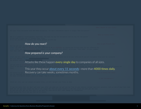| ecovery your files without private key                                  |  |  |
|-------------------------------------------------------------------------|--|--|
| How do you react?                                                       |  |  |
|                                                                         |  |  |
| How prepared is your company?                                           |  |  |
|                                                                         |  |  |
|                                                                         |  |  |
| Attacks like these happen every single day to companies of all sizes.   |  |  |
| This year they occur about every 11 seconds-more than 4000 times daily. |  |  |
| Recovery can take weeks, sometimes months.                              |  |  |
|                                                                         |  |  |
|                                                                         |  |  |
| load encrypted files. we will decrypt your files as demo                |  |  |
|                                                                         |  |  |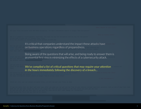It's critical that companies understand the impact these attacks have on business operations regardless of preparedness.

Being aware of the questions that will arise, and being ready to answer them is an essential first step in minimizing the effects of a cybersecurity attack.

#### *We've compiled a list of critical questions that may require your attention in the hours immediately following the discovery of a breach...*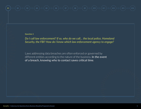#### **Question 1**

*Do I call law enforcement? If so, who do we call… the local police, Homeland Security, the FBI? How do I know which law enforcement agency to engage?*

Laws addressing data breaches are often enforced or governed by different entities according to the nature of the business. In the event of a breach, knowing who to contact saves critical time.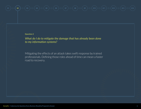### **Q2**  $\frac{1}{\sqrt{1-\frac{1}{\sqrt{1-\frac{1}{\sqrt{1-\frac{1}{\sqrt{1-\frac{1}{\sqrt{1-\frac{1}{\sqrt{1-\frac{1}{\sqrt{1-\frac{1}{\sqrt{1-\frac{1}{\sqrt{1-\frac{1}{\sqrt{1-\frac{1}{\sqrt{1-\frac{1}{\sqrt{1-\frac{1}{\sqrt{1-\frac{1}{\sqrt{1-\frac{1}{\sqrt{1-\frac{1}{\sqrt{1-\frac{1}{\sqrt{1-\frac{1}{\sqrt{1-\frac{1}{\sqrt{1-\frac{1}{\sqrt{1-\frac{1}{\sqrt{1-\frac{1}{\sqrt{1-\frac{1}{\sqrt{1-\frac{1}{\sqrt{$

#### **Question 2**

*What do I do to mitigate the damage that has already been done to my information systems?*

Mitigating the effects of an attack takes swift response by trained professionals. Defining those roles ahead of time can mean a faster road to recovery.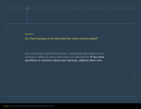**Question 3**

*Do I have backups of the data that was stolen and encrypted?*

Secure backups, stored off premises, could drastically improve your company's ability to reduce the impact of a data breach. If you have questions or concerns about your backups, address them now.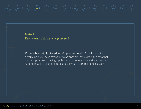**Question 4**

*Exactly what data was compromised?*

Know what data is stored within your network. You will need to determine if you have exposure to any privacy laws within the data that was compromised. Having a policy around where data is stored, and a retention policy for that data, is critical when responding to a breach.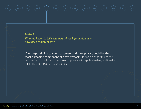**Question 5**

*What do I need to tell customers whose information may have been compromised?*

Your responsibility to your customers and their privacy could be the most damaging component of a cyberattack. Having a plan for taking the required action will help to ensure compliance with applicable law, and ideally minimize the impact on your clients.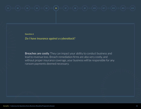**Question 6**

*Do I have insurance against a cyberattack?*

**Breaches are costly.** They can impact your ability to conduct business and lead to revenue loss. Breach remediation firms are also very costly, and without proper insurance coverage, your business will be responsible for any ransom payments deemed necessary.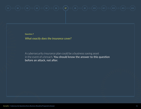**Question 7**

*What exactly does the insurance cover?*

A cybersecurity insurance plan could be a business saving asset in the event of a breach. You should know the answer to this question before an attack, not after.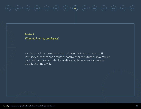**Question 8**

*What do I tell my employees?*

A cyberattack can be emotionally and mentally taxing on your staff. Instilling confidence and a sense of control over the situation may reduce panic and improve critical collaborative efforts necessary to respond quickly and effectively.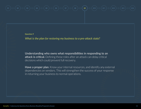**Question 9**

*What is the plan for restoring my business to a pre-attack state?*

Understanding who owns what responsibilities in responding to an attack is critical. Defining these roles after an attack can delay critical decisions which could prevent full recovery.

Have a proper plan. Know your internal resources, and identify any external dependencies on vendors. This will strengthen the success of your response in returning your business to normal operations.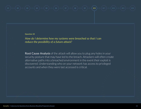#### **Question 10**

*How do I determine how my systems were breached so that I can reduce the possibility of a future attack?*

**Root Cause Analysis** of the attack will allow you to plug any holes in your security posture that may have led to the breach. Attackers will often create alternative paths into a breached environment in the event their exploit is discovered. Understanding who on your network has access to privileged accounts and when they were last accessed is critical.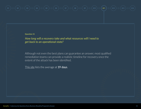#### **Question 11**

*How long will a recovery take and what resources will I need to get back to an operational state?*

Although not even the best plans can guarantee an answer, most qualified remediation teams can provide a realistic timeline for recovery once the extent of the attack has been identified.

[This site](https://safeatlast.co/blog/ransomware-statistics/#gref) lists the average at 19 days.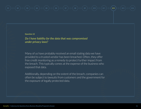**Question 12**

*Do I have liability for the data that was compromised under privacy laws?*

Many of us have probably received an email stating data we have provided to a trusted vendor has been breached. Often, they offer free credit monitoring as a remedy to protect further impact from the breach. This typically comes at the expense of the business who exposed that data.

Additionally, depending on the extent of the breach, companies can often be subject to lawsuits from customers and the government for the exposure of legally protected data.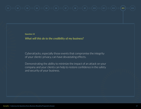**Question 13**

*What will this do to the credibility of my business?*

Cyberattacks, especially those events that compromise the integrity of your clients' privacy, can have devastating effects.

Demonstrating the ability to minimize the impact of an attack on your company and your clients can help to restore confidence in the safety and security of your business.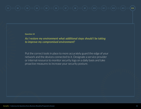#### **Question 14**

*As I restore my environment what additional steps should I be taking to improve my compromised environment?*

Put the correct tools in place to more accurately guard the edge of your network and the devices connected to it. Designate a service provider or internal resource to monitor security logs on a daily basis and take proactive measures to increase your security posture.